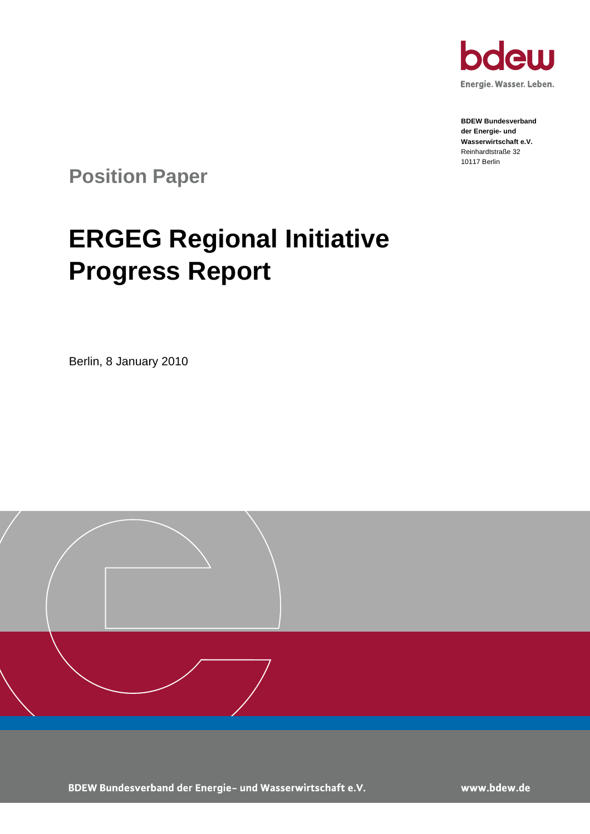

**BDEW Bundesverband der Energie- und Wasserwirtschaft e.V.** Reinhardtstraße 32 10117 Berlin

**Position Paper**

# **ERGEG Regional Initiative Progress Report**

Berlin, 8 January 2010



BDEW Bundesverband der Energie- und Wasserwirtschaft e.V.

www.bdew.de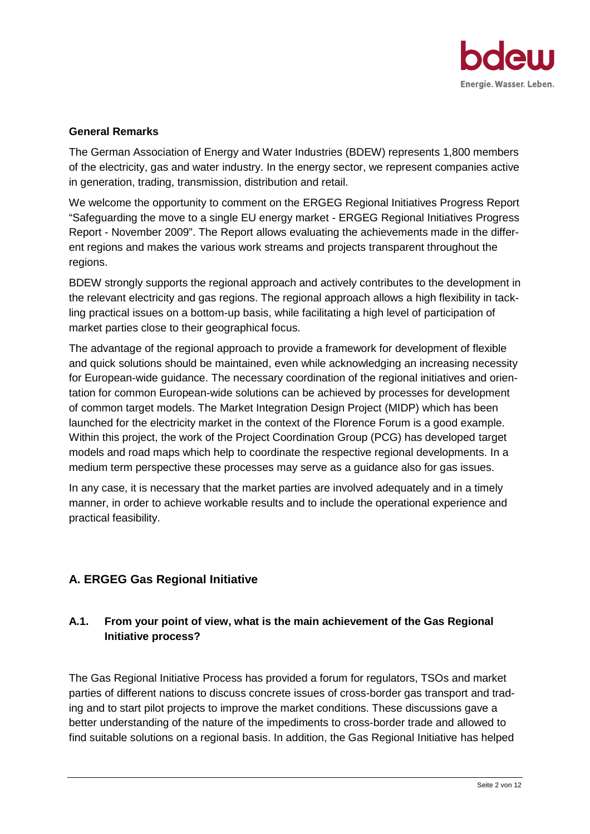

#### **General Remarks**

The German Association of Energy and Water Industries (BDEW) represents 1,800 members of the electricity, gas and water industry. In the energy sector, we represent companies active in generation, trading, transmission, distribution and retail.

We welcome the opportunity to comment on the ERGEG Regional Initiatives Progress Report "Safeguarding the move to a single EU energy market - ERGEG Regional Initiatives Progress Report - November 2009". The Report allows evaluating the achievements made in the different regions and makes the various work streams and projects transparent throughout the regions.

BDEW strongly supports the regional approach and actively contributes to the development in the relevant electricity and gas regions. The regional approach allows a high flexibility in tackling practical issues on a bottom-up basis, while facilitating a high level of participation of market parties close to their geographical focus.

The advantage of the regional approach to provide a framework for development of flexible and quick solutions should be maintained, even while acknowledging an increasing necessity for European-wide guidance. The necessary coordination of the regional initiatives and orientation for common European-wide solutions can be achieved by processes for development of common target models. The Market Integration Design Project (MIDP) which has been launched for the electricity market in the context of the Florence Forum is a good example. Within this project, the work of the Project Coordination Group (PCG) has developed target models and road maps which help to coordinate the respective regional developments. In a medium term perspective these processes may serve as a guidance also for gas issues.

In any case, it is necessary that the market parties are involved adequately and in a timely manner, in order to achieve workable results and to include the operational experience and practical feasibility.

# **A. ERGEG Gas Regional Initiative**

# **A.1. From your point of view, what is the main achievement of the Gas Regional Initiative process?**

The Gas Regional Initiative Process has provided a forum for regulators, TSOs and market parties of different nations to discuss concrete issues of cross-border gas transport and trading and to start pilot projects to improve the market conditions. These discussions gave a better understanding of the nature of the impediments to cross-border trade and allowed to find suitable solutions on a regional basis. In addition, the Gas Regional Initiative has helped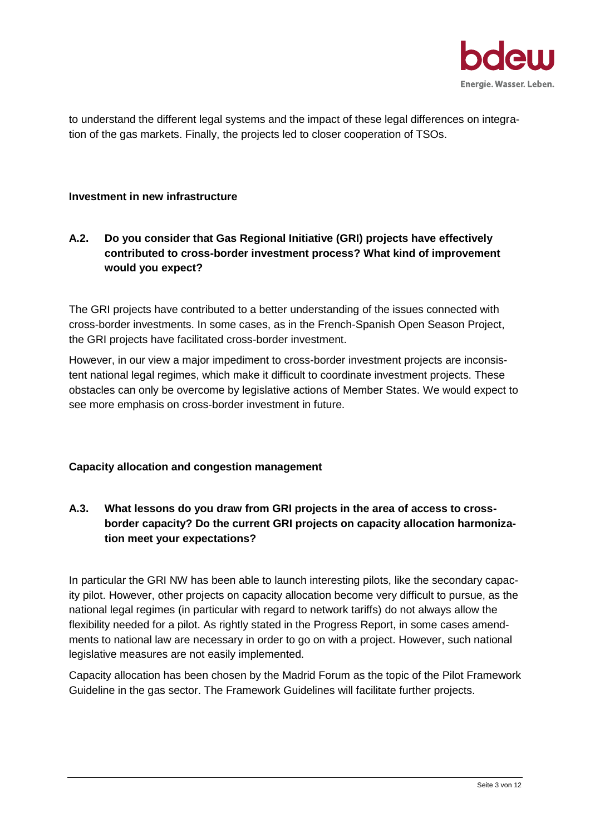

to understand the different legal systems and the impact of these legal differences on integration of the gas markets. Finally, the projects led to closer cooperation of TSOs.

#### **Investment in new infrastructure**

# **A.2. Do you consider that Gas Regional Initiative (GRI) projects have effectively contributed to cross-border investment process? What kind of improvement would you expect?**

The GRI projects have contributed to a better understanding of the issues connected with cross-border investments. In some cases, as in the French-Spanish Open Season Project, the GRI projects have facilitated cross-border investment.

However, in our view a major impediment to cross-border investment projects are inconsistent national legal regimes, which make it difficult to coordinate investment projects. These obstacles can only be overcome by legislative actions of Member States. We would expect to see more emphasis on cross-border investment in future.

#### **Capacity allocation and congestion management**

# **A.3. What lessons do you draw from GRI projects in the area of access to crossborder capacity? Do the current GRI projects on capacity allocation harmonization meet your expectations?**

In particular the GRI NW has been able to launch interesting pilots, like the secondary capacity pilot. However, other projects on capacity allocation become very difficult to pursue, as the national legal regimes (in particular with regard to network tariffs) do not always allow the flexibility needed for a pilot. As rightly stated in the Progress Report, in some cases amendments to national law are necessary in order to go on with a project. However, such national legislative measures are not easily implemented.

Capacity allocation has been chosen by the Madrid Forum as the topic of the Pilot Framework Guideline in the gas sector. The Framework Guidelines will facilitate further projects.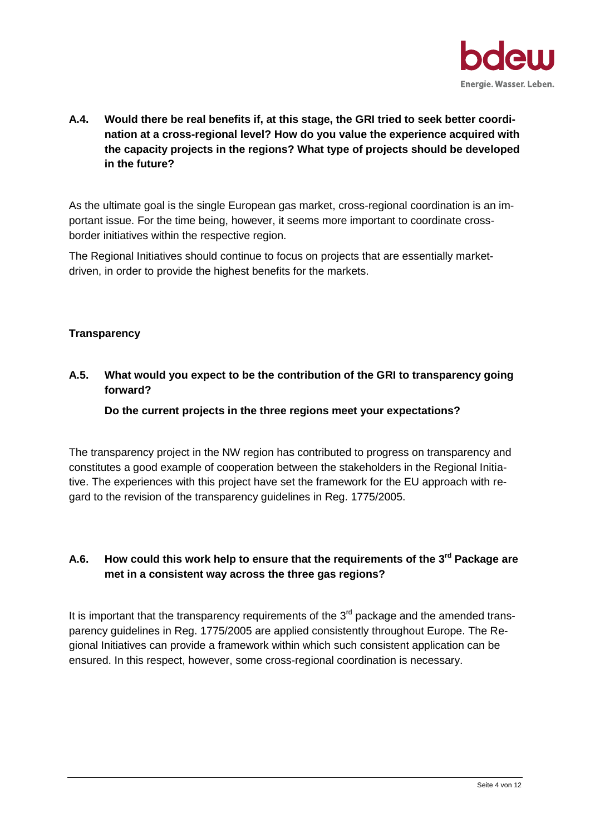

**A.4. Would there be real benefits if, at this stage, the GRI tried to seek better coordination at a cross-regional level? How do you value the experience acquired with the capacity projects in the regions? What type of projects should be developed in the future?**

As the ultimate goal is the single European gas market, cross-regional coordination is an important issue. For the time being, however, it seems more important to coordinate crossborder initiatives within the respective region.

The Regional Initiatives should continue to focus on projects that are essentially marketdriven, in order to provide the highest benefits for the markets.

#### **Transparency**

**A.5. What would you expect to be the contribution of the GRI to transparency going forward?**

#### **Do the current projects in the three regions meet your expectations?**

The transparency project in the NW region has contributed to progress on transparency and constitutes a good example of cooperation between the stakeholders in the Regional Initiative. The experiences with this project have set the framework for the EU approach with regard to the revision of the transparency guidelines in Reg. 1775/2005.

# **A.6. How could this work help to ensure that the requirements of the 3rd Package are met in a consistent way across the three gas regions?**

It is important that the transparency requirements of the  $3<sup>rd</sup>$  package and the amended transparency guidelines in Reg. 1775/2005 are applied consistently throughout Europe. The Regional Initiatives can provide a framework within which such consistent application can be ensured. In this respect, however, some cross-regional coordination is necessary.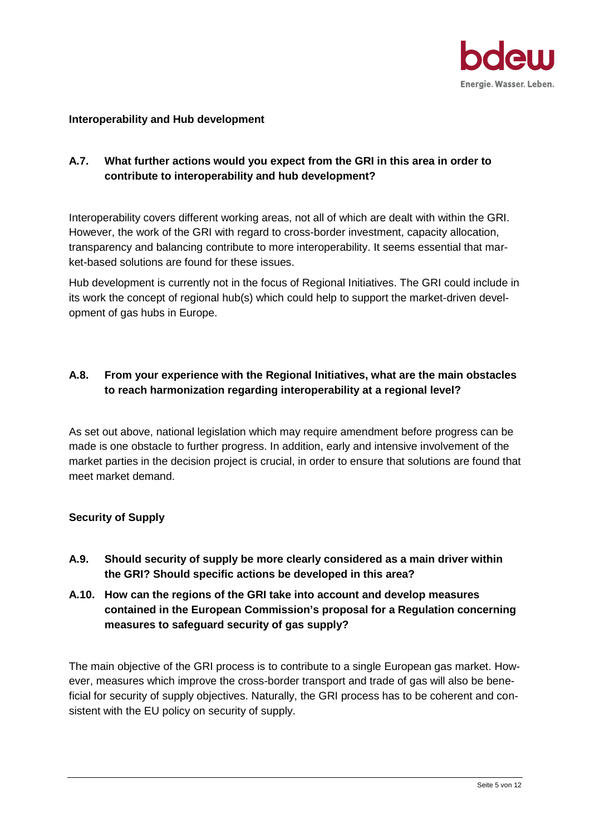

#### **Interoperability and Hub development**

# **A.7. What further actions would you expect from the GRI in this area in order to contribute to interoperability and hub development?**

Interoperability covers different working areas, not all of which are dealt with within the GRI. However, the work of the GRI with regard to cross-border investment, capacity allocation, transparency and balancing contribute to more interoperability. It seems essential that market-based solutions are found for these issues.

Hub development is currently not in the focus of Regional Initiatives. The GRI could include in its work the concept of regional hub(s) which could help to support the market-driven development of gas hubs in Europe.

## **A.8. From your experience with the Regional Initiatives, what are the main obstacles to reach harmonization regarding interoperability at a regional level?**

As set out above, national legislation which may require amendment before progress can be made is one obstacle to further progress. In addition, early and intensive involvement of the market parties in the decision project is crucial, in order to ensure that solutions are found that meet market demand.

#### **Security of Supply**

- **A.9. Should security of supply be more clearly considered as a main driver within the GRI? Should specific actions be developed in this area?**
- **A.10. How can the regions of the GRI take into account and develop measures contained in the European Commission's proposal for a Regulation concerning measures to safeguard security of gas supply?**

The main objective of the GRI process is to contribute to a single European gas market. However, measures which improve the cross-border transport and trade of gas will also be beneficial for security of supply objectives. Naturally, the GRI process has to be coherent and consistent with the EU policy on security of supply.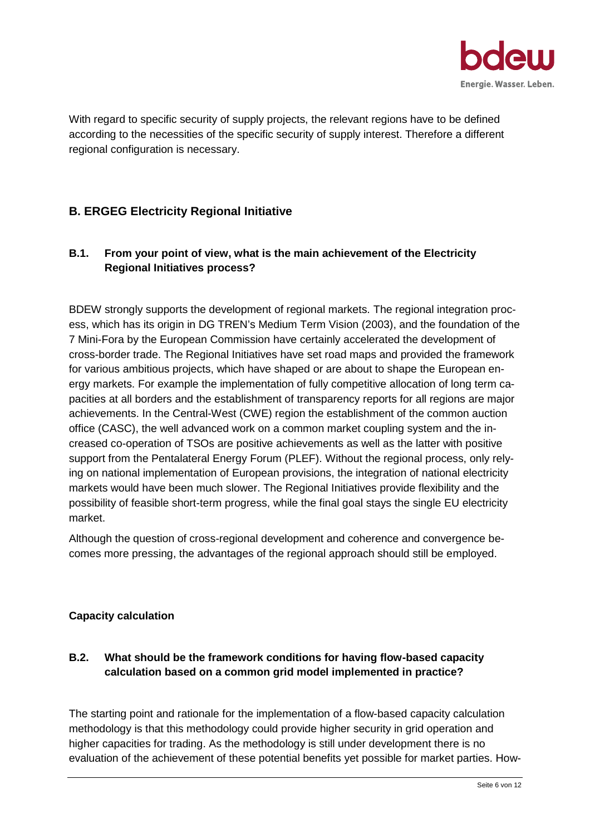

With regard to specific security of supply projects, the relevant regions have to be defined according to the necessities of the specific security of supply interest. Therefore a different regional configuration is necessary.

# **B. ERGEG Electricity Regional Initiative**

# **B.1. From your point of view, what is the main achievement of the Electricity Regional Initiatives process?**

BDEW strongly supports the development of regional markets. The regional integration process, which has its origin in DG TREN's Medium Term Vision (2003), and the foundation of the 7 Mini-Fora by the European Commission have certainly accelerated the development of cross-border trade. The Regional Initiatives have set road maps and provided the framework for various ambitious projects, which have shaped or are about to shape the European energy markets. For example the implementation of fully competitive allocation of long term capacities at all borders and the establishment of transparency reports for all regions are major achievements. In the Central-West (CWE) region the establishment of the common auction office (CASC), the well advanced work on a common market coupling system and the increased co-operation of TSOs are positive achievements as well as the latter with positive support from the Pentalateral Energy Forum (PLEF). Without the regional process, only relying on national implementation of European provisions, the integration of national electricity markets would have been much slower. The Regional Initiatives provide flexibility and the possibility of feasible short-term progress, while the final goal stays the single EU electricity market.

Although the question of cross-regional development and coherence and convergence becomes more pressing, the advantages of the regional approach should still be employed.

## **Capacity calculation**

# **B.2. What should be the framework conditions for having flow-based capacity calculation based on a common grid model implemented in practice?**

The starting point and rationale for the implementation of a flow-based capacity calculation methodology is that this methodology could provide higher security in grid operation and higher capacities for trading. As the methodology is still under development there is no evaluation of the achievement of these potential benefits yet possible for market parties. How-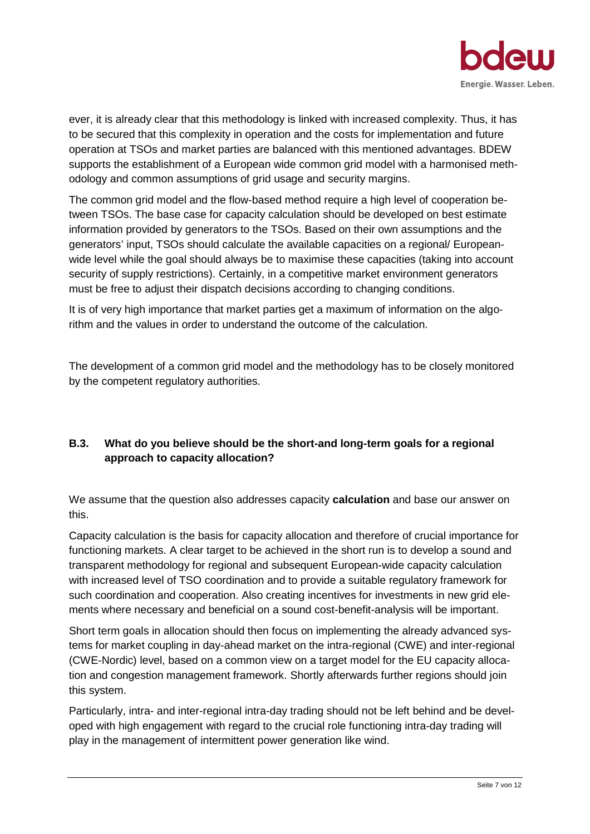

ever, it is already clear that this methodology is linked with increased complexity. Thus, it has to be secured that this complexity in operation and the costs for implementation and future operation at TSOs and market parties are balanced with this mentioned advantages. BDEW supports the establishment of a European wide common grid model with a harmonised methodology and common assumptions of grid usage and security margins.

The common grid model and the flow-based method require a high level of cooperation between TSOs. The base case for capacity calculation should be developed on best estimate information provided by generators to the TSOs. Based on their own assumptions and the generators' input, TSOs should calculate the available capacities on a regional/ Europeanwide level while the goal should always be to maximise these capacities (taking into account security of supply restrictions). Certainly, in a competitive market environment generators must be free to adjust their dispatch decisions according to changing conditions.

It is of very high importance that market parties get a maximum of information on the algorithm and the values in order to understand the outcome of the calculation.

The development of a common grid model and the methodology has to be closely monitored by the competent regulatory authorities.

# **B.3. What do you believe should be the short-and long-term goals for a regional approach to capacity allocation?**

We assume that the question also addresses capacity **calculation** and base our answer on this.

Capacity calculation is the basis for capacity allocation and therefore of crucial importance for functioning markets. A clear target to be achieved in the short run is to develop a sound and transparent methodology for regional and subsequent European-wide capacity calculation with increased level of TSO coordination and to provide a suitable regulatory framework for such coordination and cooperation. Also creating incentives for investments in new grid elements where necessary and beneficial on a sound cost-benefit-analysis will be important.

Short term goals in allocation should then focus on implementing the already advanced systems for market coupling in day-ahead market on the intra-regional (CWE) and inter-regional (CWE-Nordic) level, based on a common view on a target model for the EU capacity allocation and congestion management framework. Shortly afterwards further regions should join this system.

Particularly, intra- and inter-regional intra-day trading should not be left behind and be developed with high engagement with regard to the crucial role functioning intra-day trading will play in the management of intermittent power generation like wind.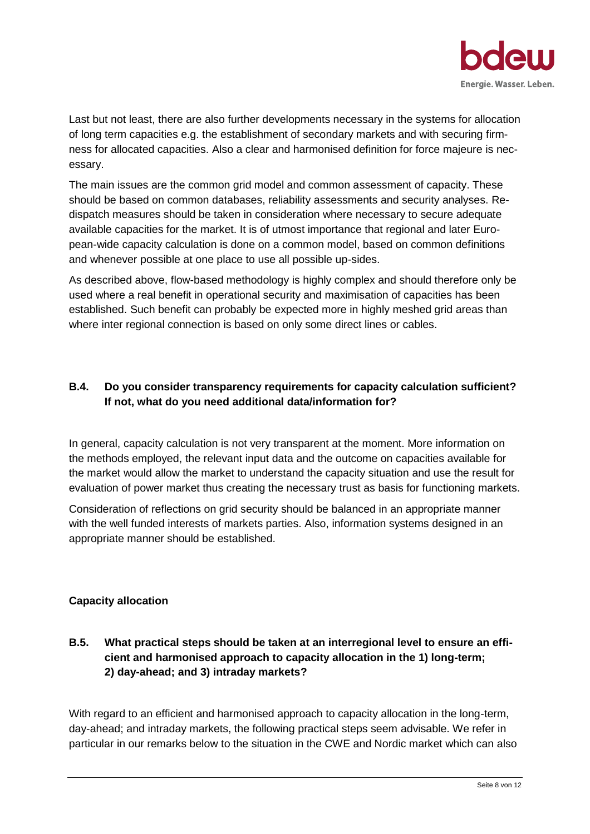

Last but not least, there are also further developments necessary in the systems for allocation of long term capacities e.g. the establishment of secondary markets and with securing firmness for allocated capacities. Also a clear and harmonised definition for force majeure is necessary.

The main issues are the common grid model and common assessment of capacity. These should be based on common databases, reliability assessments and security analyses. Redispatch measures should be taken in consideration where necessary to secure adequate available capacities for the market. It is of utmost importance that regional and later European-wide capacity calculation is done on a common model, based on common definitions and whenever possible at one place to use all possible up-sides.

As described above, flow-based methodology is highly complex and should therefore only be used where a real benefit in operational security and maximisation of capacities has been established. Such benefit can probably be expected more in highly meshed grid areas than where inter regional connection is based on only some direct lines or cables.

# **B.4. Do you consider transparency requirements for capacity calculation sufficient? If not, what do you need additional data/information for?**

In general, capacity calculation is not very transparent at the moment. More information on the methods employed, the relevant input data and the outcome on capacities available for the market would allow the market to understand the capacity situation and use the result for evaluation of power market thus creating the necessary trust as basis for functioning markets.

Consideration of reflections on grid security should be balanced in an appropriate manner with the well funded interests of markets parties. Also, information systems designed in an appropriate manner should be established.

## **Capacity allocation**

# **B.5. What practical steps should be taken at an interregional level to ensure an efficient and harmonised approach to capacity allocation in the 1) long-term; 2) day-ahead; and 3) intraday markets?**

With regard to an efficient and harmonised approach to capacity allocation in the long-term, day-ahead; and intraday markets, the following practical steps seem advisable. We refer in particular in our remarks below to the situation in the CWE and Nordic market which can also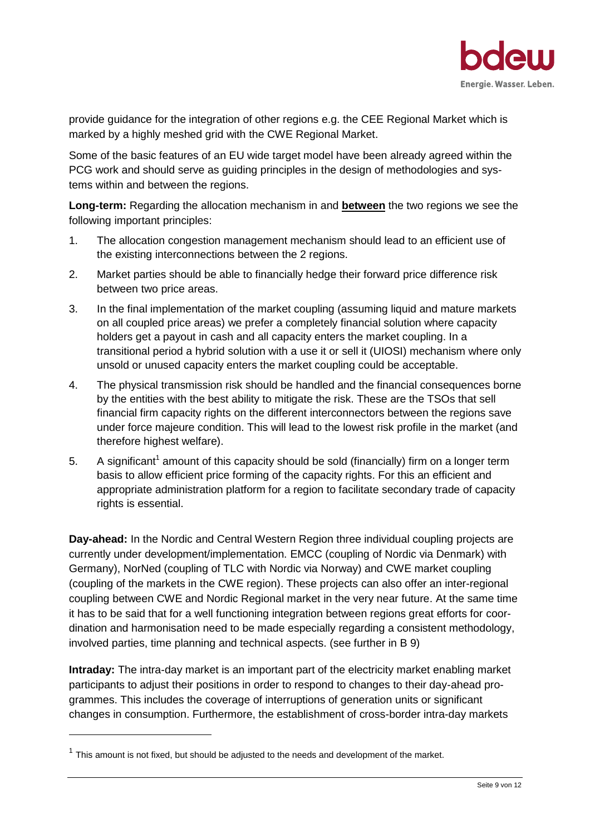

provide guidance for the integration of other regions e.g. the CEE Regional Market which is marked by a highly meshed grid with the CWE Regional Market.

Some of the basic features of an EU wide target model have been already agreed within the PCG work and should serve as guiding principles in the design of methodologies and systems within and between the regions.

**Long-term:** Regarding the allocation mechanism in and **between** the two regions we see the following important principles:

- 1. The allocation congestion management mechanism should lead to an efficient use of the existing interconnections between the 2 regions.
- 2. Market parties should be able to financially hedge their forward price difference risk between two price areas.
- 3. In the final implementation of the market coupling (assuming liquid and mature markets on all coupled price areas) we prefer a completely financial solution where capacity holders get a payout in cash and all capacity enters the market coupling. In a transitional period a hybrid solution with a use it or sell it (UIOSI) mechanism where only unsold or unused capacity enters the market coupling could be acceptable.
- 4. The physical transmission risk should be handled and the financial consequences borne by the entities with the best ability to mitigate the risk. These are the TSOs that sell financial firm capacity rights on the different interconnectors between the regions save under force majeure condition. This will lead to the lowest risk profile in the market (and therefore highest welfare).
- 5. A significant<sup>[1](#page-8-0)</sup> amount of this capacity should be sold (financially) firm on a longer term basis to allow efficient price forming of the capacity rights. For this an efficient and appropriate administration platform for a region to facilitate secondary trade of capacity rights is essential.

**Day-ahead:** In the Nordic and Central Western Region three individual coupling projects are currently under development/implementation. EMCC (coupling of Nordic via Denmark) with Germany), NorNed (coupling of TLC with Nordic via Norway) and CWE market coupling (coupling of the markets in the CWE region). These projects can also offer an inter-regional coupling between CWE and Nordic Regional market in the very near future. At the same time it has to be said that for a well functioning integration between regions great efforts for coordination and harmonisation need to be made especially regarding a consistent methodology, involved parties, time planning and technical aspects. (see further in B 9)

**Intraday:** The intra-day market is an important part of the electricity market enabling market participants to adjust their positions in order to respond to changes to their day-ahead programmes. This includes the coverage of interruptions of generation units or significant changes in consumption. Furthermore, the establishment of cross-border intra-day markets

<span id="page-8-0"></span> $1$  This amount is not fixed, but should be adjusted to the needs and development of the market.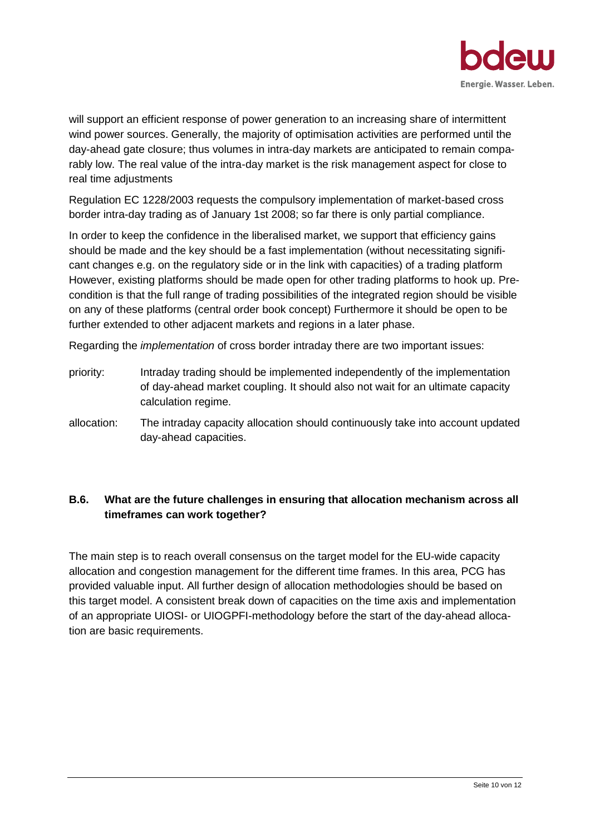

will support an efficient response of power generation to an increasing share of intermittent wind power sources. Generally, the majority of optimisation activities are performed until the day-ahead gate closure; thus volumes in intra-day markets are anticipated to remain comparably low. The real value of the intra-day market is the risk management aspect for close to real time adjustments

Regulation EC 1228/2003 requests the compulsory implementation of market-based cross border intra-day trading as of January 1st 2008; so far there is only partial compliance.

In order to keep the confidence in the liberalised market, we support that efficiency gains should be made and the key should be a fast implementation (without necessitating significant changes e.g. on the regulatory side or in the link with capacities) of a trading platform However, existing platforms should be made open for other trading platforms to hook up. Precondition is that the full range of trading possibilities of the integrated region should be visible on any of these platforms (central order book concept) Furthermore it should be open to be further extended to other adjacent markets and regions in a later phase.

Regarding the *implementation* of cross border intraday there are two important issues:

- priority: Intraday trading should be implemented independently of the implementation of day-ahead market coupling. It should also not wait for an ultimate capacity calculation regime.
- allocation: The intraday capacity allocation should continuously take into account updated day-ahead capacities.

# **B.6. What are the future challenges in ensuring that allocation mechanism across all timeframes can work together?**

The main step is to reach overall consensus on the target model for the EU-wide capacity allocation and congestion management for the different time frames. In this area, PCG has provided valuable input. All further design of allocation methodologies should be based on this target model. A consistent break down of capacities on the time axis and implementation of an appropriate UIOSI- or UIOGPFI-methodology before the start of the day-ahead allocation are basic requirements.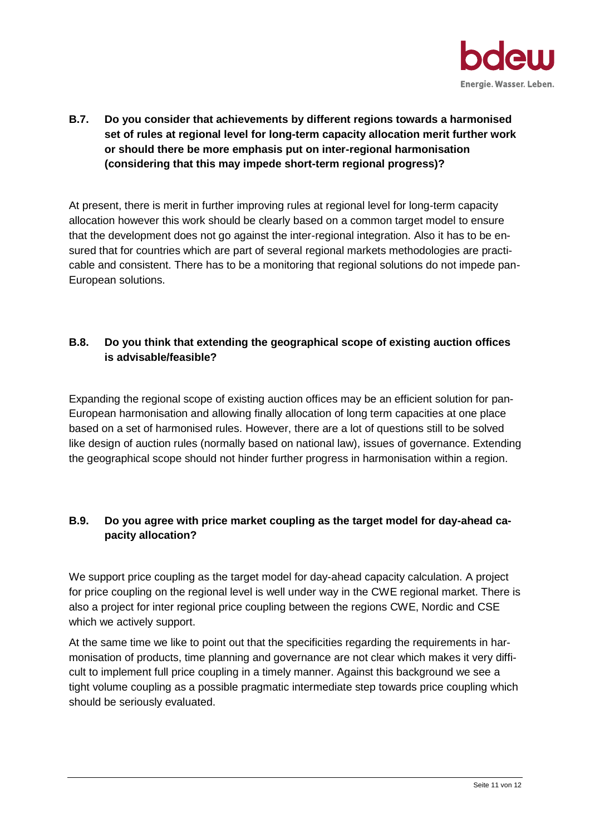

**B.7. Do you consider that achievements by different regions towards a harmonised set of rules at regional level for long-term capacity allocation merit further work or should there be more emphasis put on inter-regional harmonisation (considering that this may impede short-term regional progress)?**

At present, there is merit in further improving rules at regional level for long-term capacity allocation however this work should be clearly based on a common target model to ensure that the development does not go against the inter-regional integration. Also it has to be ensured that for countries which are part of several regional markets methodologies are practicable and consistent. There has to be a monitoring that regional solutions do not impede pan-European solutions.

# **B.8. Do you think that extending the geographical scope of existing auction offices is advisable/feasible?**

Expanding the regional scope of existing auction offices may be an efficient solution for pan-European harmonisation and allowing finally allocation of long term capacities at one place based on a set of harmonised rules. However, there are a lot of questions still to be solved like design of auction rules (normally based on national law), issues of governance. Extending the geographical scope should not hinder further progress in harmonisation within a region.

# **B.9. Do you agree with price market coupling as the target model for day-ahead capacity allocation?**

We support price coupling as the target model for day-ahead capacity calculation. A project for price coupling on the regional level is well under way in the CWE regional market. There is also a project for inter regional price coupling between the regions CWE, Nordic and CSE which we actively support.

At the same time we like to point out that the specificities regarding the requirements in harmonisation of products, time planning and governance are not clear which makes it very difficult to implement full price coupling in a timely manner. Against this background we see a tight volume coupling as a possible pragmatic intermediate step towards price coupling which should be seriously evaluated.